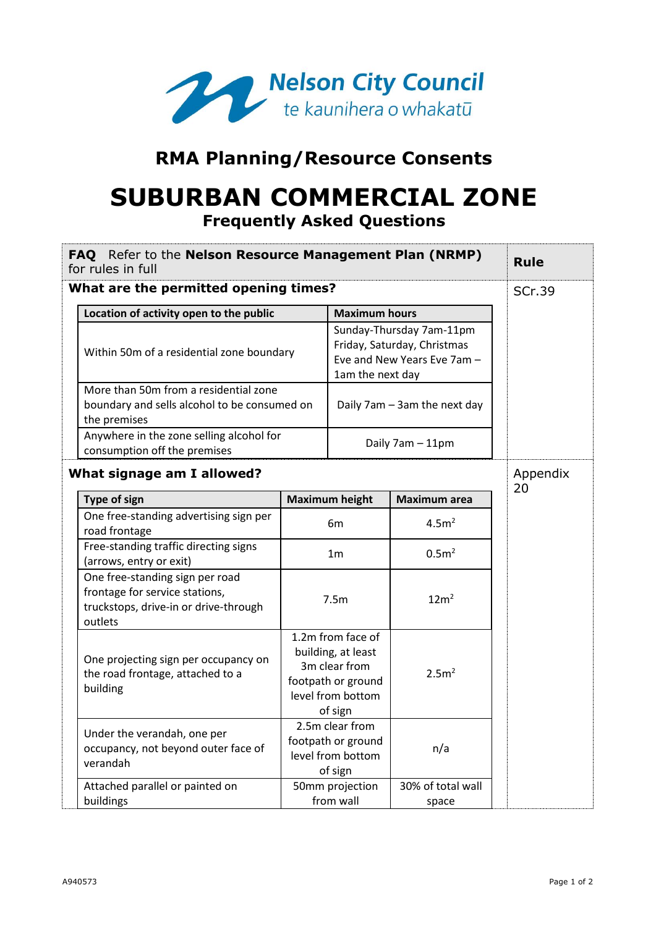

## **RMA Planning/Resource Consents**

# **SUBURBAN COMMERCIAL ZONE Frequently Asked Questions**

|                                       | FAQ Refer to the Nelson Resource Management Plan (NRMP)<br>for rules in full                                                                       |                                                                                                                | <b>Rule</b>                                                                                                |                            |  |                |
|---------------------------------------|----------------------------------------------------------------------------------------------------------------------------------------------------|----------------------------------------------------------------------------------------------------------------|------------------------------------------------------------------------------------------------------------|----------------------------|--|----------------|
| What are the permitted opening times? | <b>SCr.39</b>                                                                                                                                      |                                                                                                                |                                                                                                            |                            |  |                |
|                                       | Location of activity open to the public                                                                                                            | <b>Maximum hours</b>                                                                                           |                                                                                                            |                            |  |                |
|                                       | Within 50m of a residential zone boundary<br>More than 50m from a residential zone<br>boundary and sells alcohol to be consumed on<br>the premises |                                                                                                                | Sunday-Thursday 7am-11pm<br>Friday, Saturday, Christmas<br>Eve and New Years Eve 7am -<br>1am the next day |                            |  |                |
|                                       |                                                                                                                                                    |                                                                                                                | Daily 7am - 3am the next day                                                                               |                            |  |                |
|                                       | Anywhere in the zone selling alcohol for<br>consumption off the premises                                                                           |                                                                                                                | Daily 7am - 11pm                                                                                           |                            |  |                |
|                                       | What signage am I allowed?                                                                                                                         |                                                                                                                |                                                                                                            |                            |  | Appendix<br>20 |
|                                       | <b>Type of sign</b>                                                                                                                                |                                                                                                                | <b>Maximum height</b>                                                                                      | Maximum area               |  |                |
|                                       | One free-standing advertising sign per<br>road frontage                                                                                            |                                                                                                                | 6m                                                                                                         | 4.5m <sup>2</sup>          |  |                |
|                                       | Free-standing traffic directing signs<br>(arrows, entry or exit)                                                                                   |                                                                                                                | 1 <sub>m</sub>                                                                                             | 0.5 <sup>2</sup>           |  |                |
|                                       | One free-standing sign per road<br>frontage for service stations,<br>truckstops, drive-in or drive-through<br>outlets                              |                                                                                                                | 7.5m                                                                                                       | 12m <sup>2</sup>           |  |                |
|                                       | One projecting sign per occupancy on<br>the road frontage, attached to a<br>building                                                               | 1.2m from face of<br>building, at least<br>3m clear from<br>footpath or ground<br>level from bottom<br>of sign |                                                                                                            | 2.5m <sup>2</sup>          |  |                |
|                                       | Under the verandah, one per<br>occupancy, not beyond outer face of<br>verandah                                                                     |                                                                                                                | 2.5m clear from<br>footpath or ground<br>level from bottom<br>of sign                                      | n/a                        |  |                |
|                                       | Attached parallel or painted on<br>buildings                                                                                                       |                                                                                                                | 50mm projection<br>from wall                                                                               | 30% of total wall<br>space |  |                |